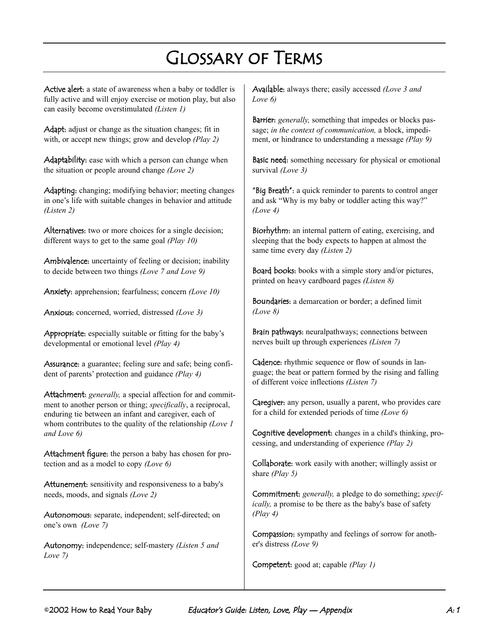## Glossary of Terms

Active alert: a state of awareness when a baby or toddler is fully active and will enjoy exercise or motion play, but also can easily become overstimulated *(Listen 1)*

Adapt: adjust or change as the situation changes; fit in with, or accept new things; grow and develop *(Play 2)*

Adaptability: ease with which a person can change when the situation or people around change *(Love 2)*

Adapting: changing; modifying behavior; meeting changes in one's life with suitable changes in behavior and attitude *(Listen 2)*

Alternatives: two or more choices for a single decision; different ways to get to the same goal *(Play 10)*

Ambivalence: uncertainty of feeling or decision; inability to decide between two things *(Love 7 and Love 9)*

Anxiety: apprehension; fearfulness; concern *(Love 10)*

Anxious: concerned, worried, distressed *(Love 3)*

Appropriate: especially suitable or fitting for the baby's developmental or emotional level *(Play 4)*

Assurance: a guarantee; feeling sure and safe; being confident of parents' protection and guidance *(Play 4)*

Attachment: *generally,* a special affection for and commitment to another person or thing; *specifically*, a reciprocal, enduring tie between an infant and caregiver, each of whom contributes to the quality of the relationship *(Love 1 and Love 6)*

Attachment figure: the person a baby has chosen for protection and as a model to copy *(Love 6)*

Attunement: sensitivity and responsiveness to a baby's needs, moods, and signals *(Love 2)*

Autonomous: separate, independent; self-directed; on one's own *(Love 7)*

Autonomy: independence; self-mastery *(Listen 5 and Love 7)*

Available: always there; easily accessed *(Love 3 and Love 6)*

Barrier: *generally,* something that impedes or blocks passage; *in the context of communication,* a block, impediment, or hindrance to understanding a message *(Play 9)*

Basic need: something necessary for physical or emotional survival *(Love 3)*

"Big Breath": a quick reminder to parents to control anger and ask "Why is my baby or toddler acting this way?" *(Love 4)*

Biorhythm: an internal pattern of eating, exercising, and sleeping that the body expects to happen at almost the same time every day *(Listen 2)*

Board books: books with a simple story and/or pictures, printed on heavy cardboard pages *(Listen 8)*

Boundaries: a demarcation or border; a defined limit *(Love 8)*

Brain pathways: neuralpathways; connections between nerves built up through experiences *(Listen 7)*

Cadence: rhythmic sequence or flow of sounds in language; the beat or pattern formed by the rising and falling of different voice inflections *(Listen 7)*

Caregiver: any person, usually a parent, who provides care for a child for extended periods of time *(Love 6)*

Cognitive development: changes in a child's thinking, processing, and understanding of experience *(Play 2)*

Collaborate: work easily with another; willingly assist or share *(Play 5)*

Commitment: *generally,* a pledge to do something; *specifically,* a promise to be there as the baby's base of safety *(Play 4)*

Compassion: sympathy and feelings of sorrow for another's distress *(Love 9)*

Competent: good at; capable *(Play 1)*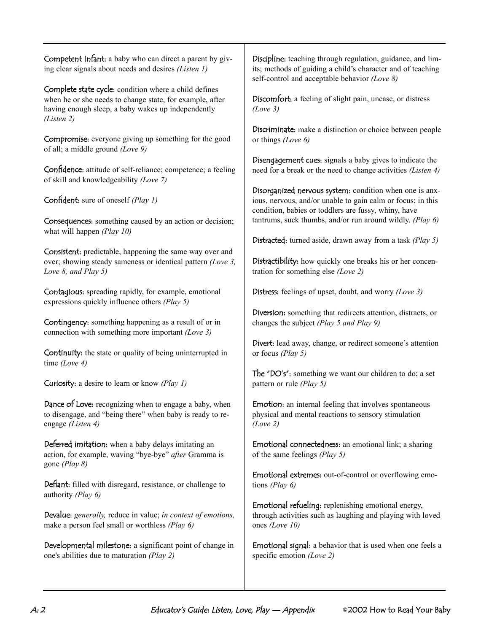| Competent Infant: a baby who can direct a parent by giv-    |
|-------------------------------------------------------------|
| ing clear signals about needs and desires <i>(Listen 1)</i> |

Complete state cycle: condition where a child defines when he or she needs to change state, for example, after having enough sleep, a baby wakes up independently *(Listen 2)*

Compromise: everyone giving up something for the good of all; a middle ground *(Love 9)*

Confidence: attitude of self-reliance; competence; a feeling of skill and knowledgeability *(Love 7)*

Confident: sure of oneself *(Play 1)*

Consequences: something caused by an action or decision; what will happen *(Play 10)*

Consistent: predictable, happening the same way over and over; showing steady sameness or identical pattern *(Love 3, Love 8, and Play 5)*

Contagious: spreading rapidly, for example, emotional expressions quickly influence others *(Play 5)*

Contingency: something happening as a result of or in connection with something more important *(Love 3)*

Continuity: the state or quality of being uninterrupted in time *(Love 4)*

Curiosity: a desire to learn or know *(Play 1)*

Dance of Love: recognizing when to engage a baby, when to disengage, and "being there" when baby is ready to reengage *(Listen 4)*

Deferred imitation: when a baby delays imitating an action, for example, waving "bye-bye" *after* Gramma is gone *(Play 8)*

Defiant: filled with disregard, resistance, or challenge to authority *(Play 6)*

Devalue: *generally,* reduce in value; *in context of emotions,* make a person feel small or worthless *(Play 6)*

Developmental milestone: a significant point of change in one's abilities due to maturation *(Play 2)*

Discipline: teaching through regulation, guidance, and limits; methods of guiding a child's character and of teaching self-control and acceptable behavior *(Love 8)*

Discomfort: a feeling of slight pain, unease, or distress *(Love 3)*

Discriminate: make a distinction or choice between people or things *(Love 6)*

Disengagement cues: signals a baby gives to indicate the need for a break or the need to change activities *(Listen 4)*

Disorganized nervous system: condition when one is anxious, nervous, and/or unable to gain calm or focus; in this condition, babies or toddlers are fussy, whiny, have tantrums, suck thumbs, and/or run around wildly. *(Play 6)*

Distracted: turned aside, drawn away from a task *(Play 5)*

Distractibility: how quickly one breaks his or her concentration for something else *(Love 2)*

Distress: feelings of upset, doubt, and worry *(Love 3)*

Diversion: something that redirects attention, distracts, or changes the subject *(Play 5 and Play 9)*

Divert: lead away, change, or redirect someone's attention or focus *(Play 5)*

The "DO's": something we want our children to do; a set pattern or rule *(Play 5)*

Emotion: an internal feeling that involves spontaneous physical and mental reactions to sensory stimulation *(Love 2)*

Emotional connectedness: an emotional link; a sharing of the same feelings *(Play 5)*

Emotional extremes: out-of-control or overflowing emotions *(Play 6)*

Emotional refueling: replenishing emotional energy, through activities such as laughing and playing with loved ones *(Love 10)*

Emotional signal: a behavior that is used when one feels a specific emotion *(Love 2)*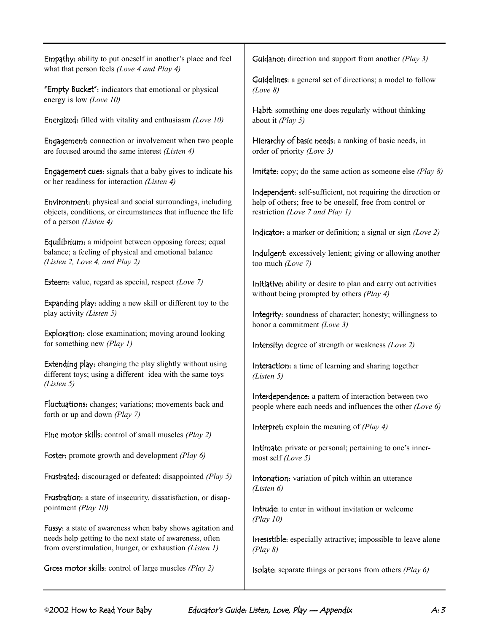Empathy: ability to put oneself in another's place and feel what that person feels *(Love 4 and Play 4)*

"Empty Bucket": indicators that emotional or physical energy is low *(Love 10)*

Energized: filled with vitality and enthusiasm *(Love 10)*

Engagement: connection or involvement when two people are focused around the same interest *(Listen 4)*

Engagement cues: signals that a baby gives to indicate his or her readiness for interaction *(Listen 4)*

Environment: physical and social surroundings, including objects, conditions, or circumstances that influence the life of a person *(Listen 4)*

Equilibrium: a midpoint between opposing forces; equal balance; a feeling of physical and emotional balance *(Listen 2, Love 4, and Play 2)*

Esteem: value, regard as special, respect *(Love 7)*

Expanding play: adding a new skill or different toy to the play activity *(Listen 5)*

Exploration: close examination; moving around looking for something new *(Play 1)*

Extending play: changing the play slightly without using different toys; using a different idea with the same toys *(Listen 5)*

Fluctuations: changes; variations; movements back and forth or up and down *(Play 7)*

Fine motor skills: control of small muscles *(Play 2)*

Foster: promote growth and development *(Play 6)*

Frustrated: discouraged or defeated; disappointed *(Play 5)*

Frustration: a state of insecurity, dissatisfaction, or disappointment *(Play 10)*

Fussy: a state of awareness when baby shows agitation and needs help getting to the next state of awareness, often from overstimulation, hunger, or exhaustion *(Listen 1)*

Gross motor skills: control of large muscles *(Play 2)*

Guidance: direction and support from another *(Play 3)*

Guidelines: a general set of directions; a model to follow *(Love 8)*

Habit: something one does regularly without thinking about it *(Play 5)*

Hierarchy of basic needs: a ranking of basic needs, in order of priority *(Love 3)*

Imitate: copy; do the same action as someone else *(Play 8)*

Independent: self-sufficient, not requiring the direction or help of others; free to be oneself, free from control or restriction *(Love 7 and Play 1)*

Indicator: a marker or definition; a signal or sign *(Love 2)*

Indulgent: excessively lenient; giving or allowing another too much *(Love 7)*

Initiative: ability or desire to plan and carry out activities without being prompted by others *(Play 4)*

Integrity: soundness of character; honesty; willingness to honor a commitment *(Love 3)*

Intensity: degree of strength or weakness *(Love 2)*

Interaction: a time of learning and sharing together *(Listen 5)*

Interdependence: a pattern of interaction between two people where each needs and influences the other *(Love 6)*

Interpret: explain the meaning of *(Play 4)*

Intimate: private or personal; pertaining to one's innermost self *(Love 5)*

Intonation: variation of pitch within an utterance *(Listen 6)*

Intrude: to enter in without invitation or welcome *(Play 10)*

Irresistible: especially attractive; impossible to leave alone *(Play 8)*

Isolate: separate things or persons from others *(Play 6)*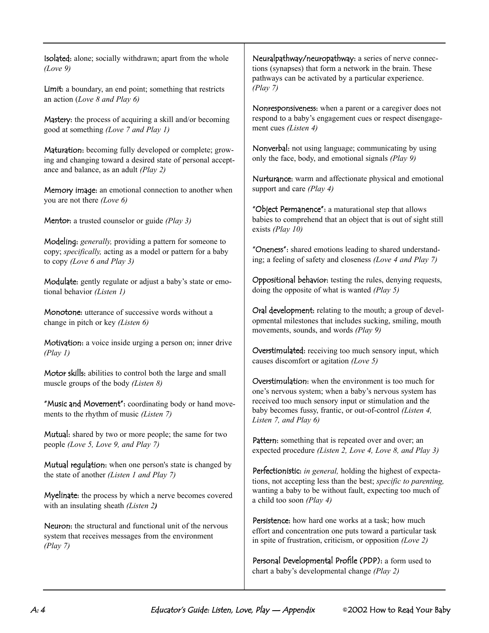Isolated: alone; socially withdrawn; apart from the whole *(Love 9)*

Limit: a boundary, an end point; something that restricts an action (*Love 8 and Play 6)*

Mastery: the process of acquiring a skill and/or becoming good at something *(Love 7 and Play 1)*

Maturation: becoming fully developed or complete; growing and changing toward a desired state of personal acceptance and balance, as an adult *(Play 2)*

Memory image: an emotional connection to another when you are not there *(Love 6)*

Mentor: a trusted counselor or guide *(Play 3)*

Modeling: *generally,* providing a pattern for someone to copy; *specifically,* acting as a model or pattern for a baby to copy *(Love 6 and Play 3)*

Modulate: gently regulate or adjust a baby's state or emotional behavior *(Listen 1)*

Monotone: utterance of successive words without a change in pitch or key *(Listen 6)*

Motivation: a voice inside urging a person on; inner drive *(Play 1)*

Motor skills: abilities to control both the large and small muscle groups of the body *(Listen 8)*

"Music and Movement": coordinating body or hand movements to the rhythm of music *(Listen 7)*

Mutual: shared by two or more people; the same for two people *(Love 5, Love 9, and Play 7)*

Mutual regulation: when one person's state is changed by the state of another *(Listen 1 and Play 7)*

Myelinate: the process by which a nerve becomes covered with an insulating sheath *(Listen 2)*

Neuron: the structural and functional unit of the nervous system that receives messages from the environment *(Play 7)*

Neuralpathway/neuropathway: a series of nerve connections (synapses) that form a network in the brain. These pathways can be activated by a particular experience. *(Play 7)*

Nonresponsiveness: when a parent or a caregiver does not respond to a baby's engagement cues or respect disengagement cues *(Listen 4)*

Nonverbal: not using language; communicating by using only the face, body, and emotional signals *(Play 9)*

Nurturance: warm and affectionate physical and emotional support and care *(Play 4)*

"Object Permanence": a maturational step that allows babies to comprehend that an object that is out of sight still exists *(Play 10)*

"Oneness": shared emotions leading to shared understanding; a feeling of safety and closeness *(Love 4 and Play 7)*

Oppositional behavior: testing the rules, denying requests, doing the opposite of what is wanted *(Play 5)*

Oral development: relating to the mouth; a group of developmental milestones that includes sucking, smiling, mouth movements, sounds, and words *(Play 9)*

Overstimulated: receiving too much sensory input, which causes discomfort or agitation *(Love 5)*

Overstimulation: when the environment is too much for one's nervous system; when a baby's nervous system has received too much sensory input or stimulation and the baby becomes fussy, frantic, or out-of-control *(Listen 4, Listen 7, and Play 6)*

Pattern: something that is repeated over and over; an expected procedure *(Listen 2, Love 4, Love 8, and Play 3)*

Perfectionistic: *in general,* holding the highest of expectations, not accepting less than the best; *specific to parenting,* wanting a baby to be without fault, expecting too much of a child too soon *(Play 4)*

Persistence: how hard one works at a task; how much effort and concentration one puts toward a particular task in spite of frustration, criticism, or opposition *(Love 2)*

Personal Developmental Profile (PDP): a form used to chart a baby's developmental change *(Play 2)*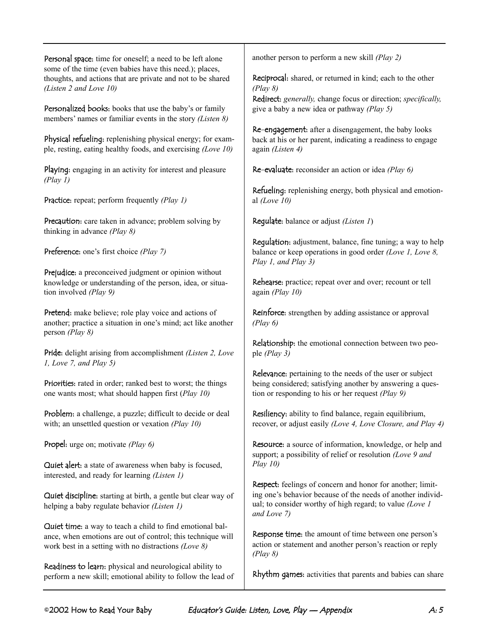Personal space: time for oneself; a need to be left alone some of the time (even babies have this need.); places, thoughts, and actions that are private and not to be shared *(Listen 2 and Love 10)*

Personalized books: books that use the baby's or family members' names or familiar events in the story *(Listen 8)*

Physical refueling: replenishing physical energy; for example, resting, eating healthy foods, and exercising *(Love 10)*

Playing: engaging in an activity for interest and pleasure *(Play 1)*

Practice: repeat; perform frequently *(Play 1)*

Precaution: care taken in advance; problem solving by thinking in advance *(Play 8)*

Preference: one's first choice *(Play 7)*

Prejudice: a preconceived judgment or opinion without knowledge or understanding of the person, idea, or situation involved *(Play 9)*

Pretend: make believe; role play voice and actions of another; practice a situation in one's mind; act like another person *(Play 8)*

Pride: delight arising from accomplishment *(Listen 2, Love 1, Love 7, and Play 5)*

Priorities: rated in order; ranked best to worst; the things one wants most; what should happen first (*Play 10)*

Problem: a challenge, a puzzle; difficult to decide or deal with; an unsettled question or vexation *(Play 10)*

Propel: urge on; motivate *(Play 6)*

Quiet alert: a state of awareness when baby is focused, interested, and ready for learning *(Listen 1)*

Quiet discipline: starting at birth, a gentle but clear way of helping a baby regulate behavior *(Listen 1)*

Quiet time: a way to teach a child to find emotional balance, when emotions are out of control; this technique will work best in a setting with no distractions *(Love 8)*

Readiness to learn: physical and neurological ability to perform a new skill; emotional ability to follow the lead of another person to perform a new skill *(Play 2)*

Reciprocal: shared, or returned in kind; each to the other *(Play 8)*

Redirect: *generally,* change focus or direction; *specifically,* give a baby a new idea or pathway *(Play 5)*

Re-engagement: after a disengagement, the baby looks back at his or her parent, indicating a readiness to engage again *(Listen 4)*

Re-evaluate: reconsider an action or idea *(Play 6)*

Refueling: replenishing energy, both physical and emotional *(Love 10)*

Regulate: balance or adjust *(Listen 1*)

Regulation: adjustment, balance, fine tuning; a way to help balance or keep operations in good order *(Love 1, Love 8, Play 1, and Play 3)*

Rehearse: practice; repeat over and over; recount or tell again *(Play 10)*

Reinforce: strengthen by adding assistance or approval *(Play 6)*

Relationship: the emotional connection between two people *(Play 3)*

Relevance: pertaining to the needs of the user or subject being considered; satisfying another by answering a question or responding to his or her request *(Play 9)*

Resiliency: ability to find balance, regain equilibrium, recover, or adjust easily *(Love 4, Love Closure, and Play 4)*

Resource: a source of information, knowledge, or help and support; a possibility of relief or resolution *(Love 9 and Play 10)*

Respect: feelings of concern and honor for another; limiting one's behavior because of the needs of another individual; to consider worthy of high regard; to value *(Love 1 and Love 7)*

Response time: the amount of time between one person's action or statement and another person's reaction or reply *(Play 8)*

Rhythm games: activities that parents and babies can share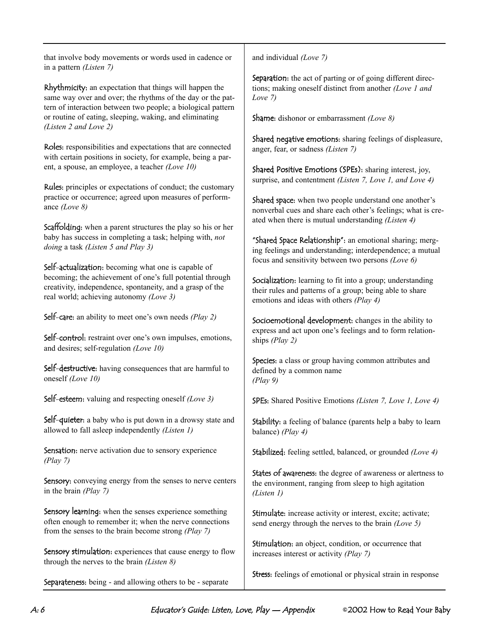that involve body movements or words used in cadence or in a pattern *(Listen 7)*

Rhythmicity: an expectation that things will happen the same way over and over; the rhythms of the day or the pattern of interaction between two people; a biological pattern or routine of eating, sleeping, waking, and eliminating *(Listen 2 and Love 2)*

Roles: responsibilities and expectations that are connected with certain positions in society, for example, being a parent, a spouse, an employee, a teacher *(Love 10)*

Rules: principles or expectations of conduct; the customary practice or occurrence; agreed upon measures of performance *(Love 8)*

Scaffolding: when a parent structures the play so his or her baby has success in completing a task; helping with, *not doing* a task *(Listen 5 and Play 3)*

Self-actualization: becoming what one is capable of becoming; the achievement of one's full potential through creativity, independence, spontaneity, and a grasp of the real world; achieving autonomy *(Love 3)*

Self-care: an ability to meet one's own needs *(Play 2)*

Self-control: restraint over one's own impulses, emotions, and desires; self-regulation *(Love 10)*

Self-destructive: having consequences that are harmful to oneself *(Love 10)*

Self-esteem: valuing and respecting oneself *(Love 3)*

Self-quieter: a baby who is put down in a drowsy state and allowed to fall asleep independently *(Listen 1)*

Sensation: nerve activation due to sensory experience *(Play 7)*

Sensory: conveying energy from the senses to nerve centers in the brain *(Play 7)*

Sensory learning: when the senses experience something often enough to remember it; when the nerve connections from the senses to the brain become strong *(Play 7)*

Sensory stimulation: experiences that cause energy to flow through the nerves to the brain *(Listen 8)*

Separateness: being - and allowing others to be - separate

and individual *(Love 7)*

Separation: the act of parting or of going different directions; making oneself distinct from another *(Love 1 and Love 7)*

Shame: dishonor or embarrassment *(Love 8)*

Shared negative emotions: sharing feelings of displeasure, anger, fear, or sadness *(Listen 7)*

Shared Positive Emotions (SPEs): sharing interest, joy, surprise, and contentment *(Listen 7, Love 1, and Love 4)*

Shared space: when two people understand one another's nonverbal cues and share each other's feelings; what is created when there is mutual understanding *(Listen 4)*

"Shared Space Relationship": an emotional sharing; merging feelings and understanding; interdependence; a mutual focus and sensitivity between two persons *(Love 6)*

Socialization: learning to fit into a group; understanding their rules and patterns of a group; being able to share emotions and ideas with others *(Play 4)*

Socioemotional development: changes in the ability to express and act upon one's feelings and to form relationships *(Play 2)*

Species: a class or group having common attributes and defined by a common name *(Play 9)*

SPEs: Shared Positive Emotions *(Listen 7, Love 1, Love 4)*

Stability: a feeling of balance (parents help a baby to learn balance) *(Play 4)*

Stabilized: feeling settled, balanced, or grounded *(Love 4)*

States of awareness: the degree of awareness or alertness to the environment, ranging from sleep to high agitation *(Listen 1)*

Stimulate: increase activity or interest, excite; activate; send energy through the nerves to the brain *(Love 5)*

Stimulation: an object, condition, or occurrence that increases interest or activity *(Play 7)*

Stress: feelings of emotional or physical strain in response